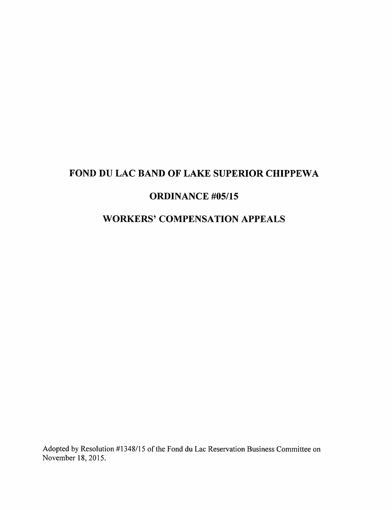# FOND DU LAC BAND OF LAKE SUPERIOR CHIPPEWA

# ORDINANCE #05/15

# WORKERS' COMPENSATION APPEALS

Adopted by Resolution #1348/15 of the Fond du Lac Reservation Business Committee on November 18, 2015.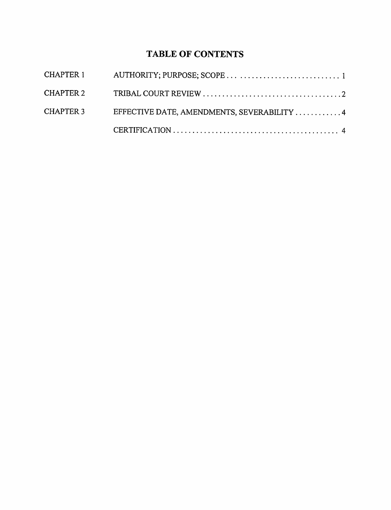# TABLE OF CONTENTS

| CHAPTER 3 | EFFECTIVE DATE, AMENDMENTS, SEVERABILITY 4 |  |
|-----------|--------------------------------------------|--|
|           |                                            |  |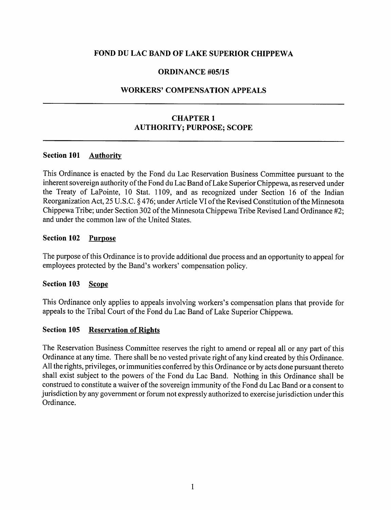# FOND DU LAC BAND OF LAKE SUPERIOR CHIPPEWA

### ORDINANCE #05/15

### WORKERS' COMPENSATION APPEALS

# CHAPTER <sup>1</sup> AUTHORITY; PURPOSE; SCOPE

### Section 101 **Authority**

This Ordinance is enacted by the Fond du Lac Reservation Business Committee pursuant to the inherent sovereign authority of the Fond du Lac Band of Lake Superior Chippewa, as reserved under the Treaty of LaPointe, 10 Stat. 1109, and as recognized under Section 16 of the Indian Reorganization Act, 25 U.S.C. § 476; under Article VI of the Revised Constitution of the Minnesota Chippewa Tribe; under Section 302 of the Minnesota Chippewa Tribe Revised Land Ordinance #2; and under the common law of the United States.

### Section 102 Purpose

The purpose of this Ordinance is to provide additional due process and an opportunity to appeal for employees protected by the Band's workers' compensation policy.

#### Section 103 Scope

This Ordinance only applies to appeals involving workers's compensation plans that provide for appeals to the Tribal Court of the Fond du Lac Band of Lake Superior Chippewa.

#### Section 105 Reservation of Rights

The Reservation Business Committee reserves the right to amend or repeal all or any part of this Ordinance at any time. There shall be no vested private right of any kind created by this Ordinance. All the rights, privileges, or immunities conferred by this Ordinance or by acts done pursuant thereto shall exist subject to the powers of the Fond du Lac Band. Nothing in this Ordinance shall be construed to constitute a waiver of the sovereign immunity of the Fond du Lac Band or a consent to jurisdiction by any government or forum not expressly authorized to exercise jurisdiction under this Ordinance.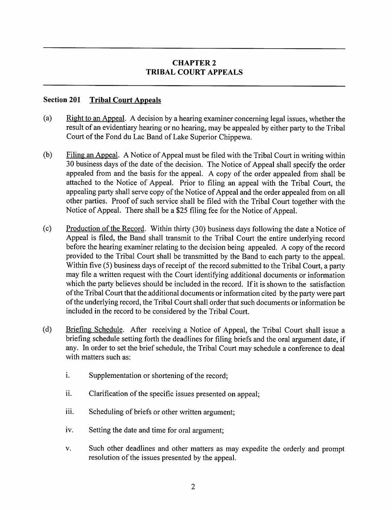# CHAPTER 2 TRIBAL COURT APPEALS

## Section 201 Tribal Court Appeals

- (a) Eight to an Appeal. A decision by a hearing examiner concerning legal issues, whether the result of an evidentiary hearing or no hearing, may be appealed by either party to the Tribal Court of the Fond du Lac Band of Lake Superior Chippewa.
- (b) Filing an Appeal. A Notice of Appeal must be filed with the Tribal Court in writing within 30 business days of the date of the decision. The Notice of Appeal shall specify the order appealed from and the basis for the appeal. A copy of the order appealed from shall be attached to the Notice of Appeal. Prior to filing an appeal with the Tribal Court, the appealing party shall serve copy of the Notice of Appeal and the order appealed from on all other parties. Proof of such service shall be filed with the Tribal Court together with the Notice of Appeal. There shall be a \$25 filing fee for the Notice of Appeal.
- (c) Production of the Record. Within thirty  $(30)$  business days following the date a Notice of Appeal is filed, the Band shall transmit to the Tribal Court the entire underlying record before the hearing examiner relating to the decision being appealed. A copy of the record provided to the Tribal Court shall be transmitted by the Band to each party to the appeal. Within five (5) business days of receipt of the record submitted to the Tribal Court, a party may file a written request with the Court identifying additional documents or information which the party believes should be included in the record. If it is shown to the satisfaction of the Tribal Court that the additional documents or information cited by the party were part ofthe underlying record, the Tribal Court shall order that such documents or information be included in the record to be considered by the Tribal Court.
- (d) Briefing Schedule. After receiving a Notice of Appeal, the Tribal Court shall issue a briefing schedule setting forth the deadlines for filing briefs and the oral argument date, if any. In order to set the brief schedule, the Tribal Court may schedule a conference to deal with matters such as:
	- i. Supplementation or shortening of the record;
	- ii. Clarification of the specific issues presented on appeal;
	- iii. Scheduling of briefs or other written argument;
	- iv. Setting the date and time for oral argument;
	- V. Such other deadlines and other matters as may expedite the orderly and prompt resolution of the issues presented by the appeal.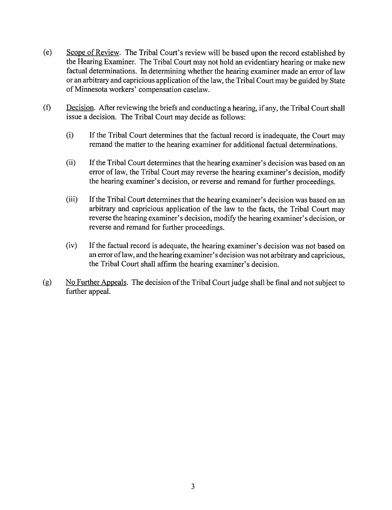- (e) Scope of Review. The Tribal Court's reviewwill be based upon the record established by the Hearing Examiner. The Tribal Court may not hold an evidentiary hearing or make new factual determinations. In determining whether the hearing examiner made an error of law or an arbitrary and capricious application of the law, the Tribal Court may be guided by State of Minnesota workers' compensation caselaw.
- $(f)$  Decision. After reviewing the briefs and conducting a hearing, if any, the Tribal Court shall issue a decision. The Tribal Court may decide as follows:
	- $(i)$  If the Tribal Court determines that the factual record is inadequate, the Court may remand the matter to the hearing examiner for additional factual determinations.
	- (ii) If the Tribal Court determines that the hearing examiner's decision was based on an error of law, the Tribal Court may reverse the hearing examiner's decision, modify the hearing examiner's decision, or reverse and remand for further proceedings.
	- (iii) If the Tribal Court determines that the hearing examiner's decision was based on an arbitrary and capricious application of the law to the facts, the Tribal Court may reverse the hearing examiner's decision, modify the hearing examiner's decision, or reverse and remand for further proceedings.
	- (iv) If the factual record is adequate, the hearing examiner's decision was not based on an error oflaw, and the hearing examiner's decision was not arbitrary and capricious, the Tribal Court shall affirm the hearing examiner's decision.
- (g)  $\overline{N}$  No Further Appeals. The decision of the Tribal Court judge shall be final and not subject to further appeal.